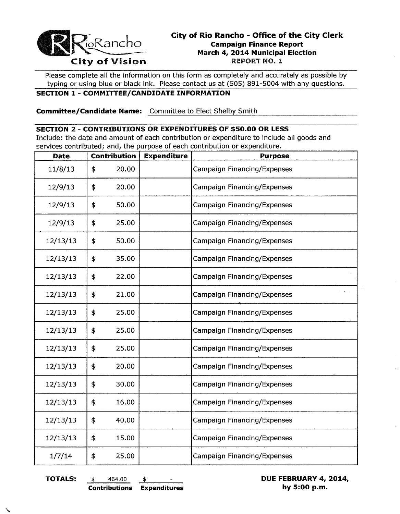

# **City of Rio Rancho - Office of the City Clerk Campaign Finance Report March 4, 2014 Municipal Election**

Please complete all the information on this form as completely and accurately as possible by typing or using blue or black ink. Please contact us at (505) 891-5004 with any questions.

### **SECTION 1- COMMITTEE/CANDIDATE INFORMATION**

**Committee/Candidate Name:** Committee to Elect Shelby Smith

#### **SECTION 2 - CONTRIBUTIONS OR EXPENDITURES OF \$50.00 OR LESS**

Include: the date and amount of each contribution or expenditure to include all goods and services contributed; and, the purpose of each contribution or expenditure.

| <b>Date</b> | <b>Contribution</b> |       | <b>Expenditure</b> | <b>Purpose</b>                     |
|-------------|---------------------|-------|--------------------|------------------------------------|
| 11/8/13     | \$                  | 20.00 |                    | <b>Campaign Financing/Expenses</b> |
| 12/9/13     | \$                  | 20.00 |                    | <b>Campaign Financing/Expenses</b> |
| 12/9/13     | \$                  | 50.00 |                    | <b>Campaign Financing/Expenses</b> |
| 12/9/13     | \$                  | 25.00 |                    | Campaign Financing/Expenses        |
| 12/13/13    | \$                  | 50.00 |                    | Campaign Financing/Expenses        |
| 12/13/13    | \$                  | 35.00 |                    | Campaign Financing/Expenses        |
| 12/13/13    | \$                  | 22.00 |                    | Campaign Financing/Expenses        |
| 12/13/13    | \$                  | 21.00 |                    | <b>Campaign Financing/Expenses</b> |
| 12/13/13    | \$                  | 25.00 |                    | Campaign Financing/Expenses        |
| 12/13/13    | \$                  | 25.00 |                    | <b>Campaign Financing/Expenses</b> |
| 12/13/13    | \$                  | 25.00 |                    | <b>Campaign Financing/Expenses</b> |
| 12/13/13    | \$                  | 20.00 |                    | Campaign Financing/Expenses        |
| 12/13/13    | \$                  | 30.00 |                    | Campaign Financing/Expenses        |
| 12/13/13    | \$                  | 16.00 |                    | Campaign Financing/Expenses        |
| 12/13/13    | \$                  | 40.00 |                    | <b>Campaign Financing/Expenses</b> |
| 12/13/13    | \$                  | 15.00 |                    | Campaign Financing/Expenses        |
| 1/7/14      | \$                  | 25.00 |                    | <b>Campaign Financing/Expenses</b> |

**TOTALS:**  $\qquad \qquad \ast \qquad 464.00 \qquad \qquad \ast \qquad \qquad \bullet$  **DUE FEBRUARY 4, 2014, Contributions Expenditures by 5:00 p.m.**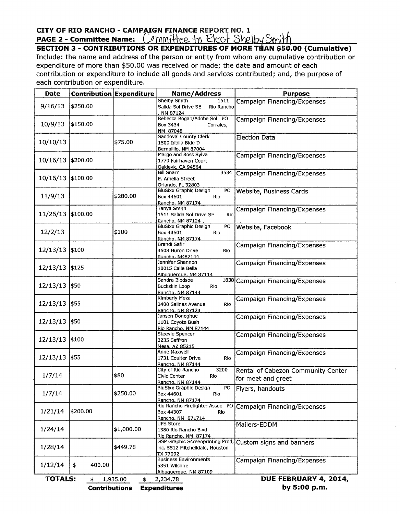## CITY OF RIO RANCHO - CAMPAIGN FINANCE REPORT NO. 1 **PAGE 2 - Committee Name:**  $\bigcirc$  mmittee to Elect Shelby Smith

**SECTION 3 - CONTRIBUTIONS OR EXPENDITURES OF MORE THAN \$50.00 (Cumulative)** Include: the name and address of the person or entity from whom any cumulative contribution or expenditure of more than \$50.00 was received or made; the date and amount of each contribution or expenditure to include all goods and services contributed; and, the purpose of each contribution or expenditure.

| <b>Date</b>                                                 |              | <b>Contribution Expenditure</b> | Name/Address                                                                    | <b>Purpose</b>                                           |  |  |  |  |  |  |
|-------------------------------------------------------------|--------------|---------------------------------|---------------------------------------------------------------------------------|----------------------------------------------------------|--|--|--|--|--|--|
| 9/16/13                                                     | \$250.00     |                                 | Shelby Smith<br>1511<br>Salida Sol Drive SE<br>Rio Rancho<br>NM 87124           | Campaign Financing/Expenses                              |  |  |  |  |  |  |
| 10/9/13                                                     | \$150.00     |                                 | Rebecca Bogan/Adobe Sol PO<br>Box 3434<br>Corrales,<br>NM 87048                 | Campaign Financing/Expenses                              |  |  |  |  |  |  |
| 10/10/13                                                    |              | \$75.00                         | Sandoval County Clerk<br>1500 Idalia Bldg D<br>Bernalillo, NM 87004             | <b>Election Data</b>                                     |  |  |  |  |  |  |
| 10/16/13                                                    | \$200.00     |                                 | Margo and Ross Sylva<br>1779 Fairhaven Court<br>Oaklevk. CA 94564               | Campaign Financing/Expenses                              |  |  |  |  |  |  |
| 10/16/13                                                    | \$100.00     |                                 | <b>Bill Snarr</b><br>3534<br>E. Amelia Street<br>Orlando, FL 32803              | Campaign Financing/Expenses                              |  |  |  |  |  |  |
| 11/9/13                                                     |              | \$280.00                        | PO<br>BluSixx Graphic Design<br>Box 44601<br>Rio<br>Rancho, NM 87174            | <b>Website, Business Cards</b>                           |  |  |  |  |  |  |
| 11/26/13 \$100.00                                           |              |                                 | Tanya Smith<br>1511 Salida Sol Drive SE<br>Rio<br>Rancho, NM 87124              | Campaign Financing/Expenses                              |  |  |  |  |  |  |
| 12/2/13                                                     |              | \$100                           | BluSixx Graphic Design<br>PO<br>Box 44601<br>Rio<br>Rancho, NM 87174            | Website, Facebook                                        |  |  |  |  |  |  |
| 12/13/13 \$100                                              |              |                                 | Brandi Safir<br>4508 Huron Drive<br>Rio<br>Rancho, NM87144                      | Campaign Financing/Expenses                              |  |  |  |  |  |  |
| 12/13/13                                                    | \$125        |                                 | Jennifer Shannon<br>10015 Calle Bella<br>Albuquerque, NM 87114                  | <b>Campaign Financing/Expenses</b>                       |  |  |  |  |  |  |
| 12/13/13                                                    | \$50         |                                 | Sandra Bledsoe<br>Buckskin Loop<br>Rio<br>Rancho, NM 87144                      | 1838 Campaign Financing/Expenses                         |  |  |  |  |  |  |
| 12/13/13 \$55                                               |              |                                 | Kimberly Meza<br>2400 Salinas Avenue<br>Rio<br>Rancho, NM 87124                 | Campaign Financing/Expenses                              |  |  |  |  |  |  |
| 12/13/13                                                    | \$50         |                                 | Jansen Donoghue<br>1101 Coyote Bush<br>Rio Rancho, NM 87144                     | Campaign Financing/Expenses                              |  |  |  |  |  |  |
| 12/13/13 \$100                                              |              |                                 | Steevie Spencer<br>3235 Saffron<br>Mesa, AZ 85215                               | Campaign Financing/Expenses                              |  |  |  |  |  |  |
| 12/13/13                                                    | \$55         |                                 | Anne Maxwell<br>1731 Coulter Drive<br>Rio<br>Rancho, NM 87144                   | Campaign Financing/Expenses                              |  |  |  |  |  |  |
| 1/7/14                                                      |              | \$80                            | City of Rio Rancho<br>3200<br>Civic Center<br>Rio<br>Rancho, NM 87144           | Rental of Cabezon Community Center<br>for meet and greet |  |  |  |  |  |  |
| 1/7/14                                                      |              | \$250.00                        | PO<br>BluSixx Graphic Design<br>Box 44601<br>Rio<br>Rancho, NM 87174            | Flyers, handouts                                         |  |  |  |  |  |  |
| 1/21/14                                                     | \$200.00     |                                 | Rio Rancho Firefighter Assoc PO<br>Box 44307<br>Rio<br>Rancho, NM 871714        | Campaign Financing/Expenses                              |  |  |  |  |  |  |
| 1/24/14                                                     |              | \$1,000.00                      | UPS Store<br>1380 Rio Rancho Blvd<br>Rio Rancho, NM 87174                       | Mailers-EDDM                                             |  |  |  |  |  |  |
| 1/28/14                                                     |              | \$449.78                        | GSP Graphic Screenprinting Prod,<br>inc. 5512 Mitchelldale, Houston<br>TX 77092 | Custom signs and banners                                 |  |  |  |  |  |  |
| 1/12/14                                                     | \$<br>400.00 |                                 | <b>Business Environments</b><br>5351 Wilshire<br>Albuguergue, NM 87109          | Campaign Financing/Expenses                              |  |  |  |  |  |  |
| <b>TOTALS:</b>                                              | \$           | 1,935.00<br>\$                  | 2,234.78                                                                        | DUE FEBRUARY 4, 2014,                                    |  |  |  |  |  |  |
| by 5:00 p.m.<br><b>Contributions</b><br><b>Expenditures</b> |              |                                 |                                                                                 |                                                          |  |  |  |  |  |  |